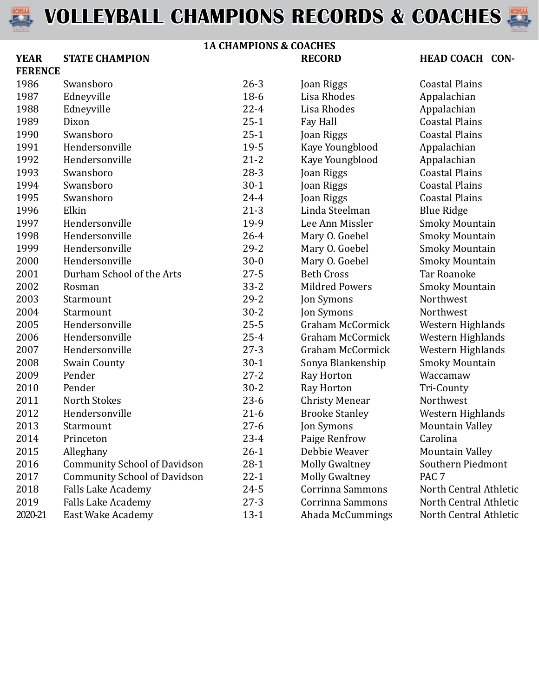



#### **1A CHAMPIONS & COACHES YEAR STATE CHAMPION RECORD**

| <b>HEAD COACH CON-</b> |  |
|------------------------|--|

| <b>FERENCE</b> |                                     |          |                         |                        |
|----------------|-------------------------------------|----------|-------------------------|------------------------|
| 1986           | Swansboro                           | $26 - 3$ | Joan Riggs              | <b>Coastal Plains</b>  |
| 1987           | Edneyville                          | $18-6$   | Lisa Rhodes             | Appalachian            |
| 1988           | Edneyville                          | $22 - 4$ | Lisa Rhodes             | Appalachian            |
| 1989           | Dixon                               | $25 - 1$ | Fay Hall                | <b>Coastal Plains</b>  |
| 1990           | Swansboro                           | $25 - 1$ | Joan Riggs              | <b>Coastal Plains</b>  |
| 1991           | Hendersonville                      | 19-5     | Kaye Youngblood         | Appalachian            |
| 1992           | Hendersonville                      | $21 - 2$ | Kaye Youngblood         | Appalachian            |
| 1993           | Swansboro                           | $28-3$   | Joan Riggs              | <b>Coastal Plains</b>  |
| 1994           | Swansboro                           | $30 - 1$ | Joan Riggs              | <b>Coastal Plains</b>  |
| 1995           | Swansboro                           | $24 - 4$ | Joan Riggs              | <b>Coastal Plains</b>  |
| 1996           | Elkin                               | $21 - 3$ | Linda Steelman          | <b>Blue Ridge</b>      |
| 1997           | Hendersonville                      | 19-9     | Lee Ann Missler         | <b>Smoky Mountain</b>  |
| 1998           | Hendersonville                      | $26 - 4$ | Mary O. Goebel          | <b>Smoky Mountain</b>  |
| 1999           | Hendersonville                      | $29 - 2$ | Mary O. Goebel          | <b>Smoky Mountain</b>  |
| 2000           | Hendersonville                      | $30 - 0$ | Mary O. Goebel          | <b>Smoky Mountain</b>  |
| 2001           | Durham School of the Arts           | $27 - 5$ | <b>Beth Cross</b>       | <b>Tar Roanoke</b>     |
| 2002           | Rosman                              | $33 - 2$ | <b>Mildred Powers</b>   | <b>Smoky Mountain</b>  |
| 2003           | Starmount                           | $29 - 2$ | Jon Symons              | Northwest              |
| 2004           | Starmount                           | $30 - 2$ | Jon Symons              | Northwest              |
| 2005           | Hendersonville                      | $25 - 5$ | <b>Graham McCormick</b> | Western Highlands      |
| 2006           | Hendersonville                      | $25 - 4$ | Graham McCormick        | Western Highlands      |
| 2007           | Hendersonville                      | $27 - 3$ | <b>Graham McCormick</b> | Western Highlands      |
| 2008           | <b>Swain County</b>                 | $30 - 1$ | Sonya Blankenship       | <b>Smoky Mountain</b>  |
| 2009           | Pender                              | $27 - 2$ | Ray Horton              | Waccamaw               |
| 2010           | Pender                              | $30 - 2$ | Ray Horton              | Tri-County             |
| 2011           | <b>North Stokes</b>                 | $23-6$   | <b>Christy Menear</b>   | Northwest              |
| 2012           | Hendersonville                      | $21-6$   | <b>Brooke Stanley</b>   | Western Highlands      |
| 2013           | Starmount                           | $27 - 6$ | Jon Symons              | <b>Mountain Valley</b> |
| 2014           | Princeton                           | $23 - 4$ | Paige Renfrow           | Carolina               |
| 2015           | Alleghany                           | $26 - 1$ | Debbie Weaver           | <b>Mountain Valley</b> |
| 2016           | <b>Community School of Davidson</b> | $28-1$   | <b>Molly Gwaltney</b>   | Southern Piedmont      |
| 2017           | <b>Community School of Davidson</b> | $22 - 1$ | <b>Molly Gwaltney</b>   | PAC <sub>7</sub>       |
| 2018           | <b>Falls Lake Academy</b>           | $24 - 5$ | Corrinna Sammons        | North Central Athletic |
| 2019           | <b>Falls Lake Academy</b>           | $27 - 3$ | Corrinna Sammons        | North Central Athletic |
| 2020-21        | East Wake Academy                   | $13 - 1$ | Ahada McCummings        | North Central Athletic |
|                |                                     |          |                         |                        |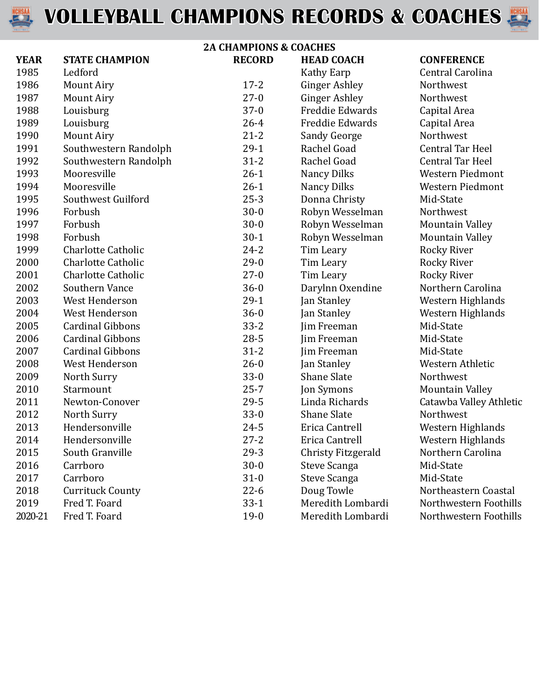



| <b>2A CHAMPIONS &amp; COACHES</b> |                           |               |                        |                         |
|-----------------------------------|---------------------------|---------------|------------------------|-------------------------|
| <b>YEAR</b>                       | <b>STATE CHAMPION</b>     | <b>RECORD</b> | <b>HEAD COACH</b>      | <b>CONFERENCE</b>       |
| 1985                              | Ledford                   |               | Kathy Earp             | Central Carolina        |
| 1986                              | <b>Mount Airy</b>         | $17 - 2$      | <b>Ginger Ashley</b>   | Northwest               |
| 1987                              | <b>Mount Airy</b>         | $27-0$        | <b>Ginger Ashley</b>   | Northwest               |
| 1988                              | Louisburg                 | $37-0$        | <b>Freddie Edwards</b> | Capital Area            |
| 1989                              | Louisburg                 | $26 - 4$      | Freddie Edwards        | Capital Area            |
| 1990                              | <b>Mount Airy</b>         | $21 - 2$      | Sandy George           | Northwest               |
| 1991                              | Southwestern Randolph     | $29-1$        | Rachel Goad            | <b>Central Tar Heel</b> |
| 1992                              | Southwestern Randolph     | $31 - 2$      | Rachel Goad            | <b>Central Tar Heel</b> |
| 1993                              | Mooresville               | $26-1$        | <b>Nancy Dilks</b>     | Western Piedmont        |
| 1994                              | Mooresville               | $26-1$        | <b>Nancy Dilks</b>     | Western Piedmont        |
| 1995                              | Southwest Guilford        | $25 - 3$      | Donna Christy          | Mid-State               |
| 1996                              | Forbush                   | $30 - 0$      | Robyn Wesselman        | Northwest               |
| 1997                              | Forbush                   | $30 - 0$      | Robyn Wesselman        | <b>Mountain Valley</b>  |
| 1998                              | Forbush                   | $30-1$        | Robyn Wesselman        | <b>Mountain Valley</b>  |
| 1999                              | <b>Charlotte Catholic</b> | $24 - 2$      | Tim Leary              | <b>Rocky River</b>      |
| 2000                              | <b>Charlotte Catholic</b> | $29-0$        | Tim Leary              | <b>Rocky River</b>      |
| 2001                              | <b>Charlotte Catholic</b> | $27-0$        | Tim Leary              | <b>Rocky River</b>      |
| 2002                              | Southern Vance            | $36 - 0$      | Darylnn Oxendine       | Northern Carolina       |
| 2003                              | West Henderson            | $29-1$        | Jan Stanley            | Western Highlands       |
| 2004                              | West Henderson            | $36 - 0$      | Jan Stanley            | Western Highlands       |
| 2005                              | <b>Cardinal Gibbons</b>   | $33 - 2$      | Jim Freeman            | Mid-State               |
| 2006                              | <b>Cardinal Gibbons</b>   | $28 - 5$      | Jim Freeman            | Mid-State               |
| 2007                              | <b>Cardinal Gibbons</b>   | $31 - 2$      | Jim Freeman            | Mid-State               |
| 2008                              | West Henderson            | $26 - 0$      | Jan Stanley            | Western Athletic        |
| 2009                              | North Surry               | $33-0$        | <b>Shane Slate</b>     | Northwest               |
| 2010                              | Starmount                 | $25 - 7$      | Jon Symons             | <b>Mountain Valley</b>  |
| 2011                              | Newton-Conover            | $29 - 5$      | Linda Richards         | Catawba Valley Athletic |
| 2012                              | North Surry               | $33-0$        | <b>Shane Slate</b>     | Northwest               |
| 2013                              | Hendersonville            | $24 - 5$      | Erica Cantrell         | Western Highlands       |
| 2014                              | Hendersonville            | $27 - 2$      | Erica Cantrell         | Western Highlands       |
| 2015                              | South Granville           | $29-3$        | Christy Fitzgerald     | Northern Carolina       |
| 2016                              | Carrboro                  | $30 - 0$      | Steve Scanga           | Mid-State               |
| 2017                              | Carrboro                  | $31-0$        | Steve Scanga           | Mid-State               |
| 2018                              | <b>Currituck County</b>   | $22-6$        | Doug Towle             | Northeastern Coastal    |
| 2019                              | Fred T. Foard             | $33-1$        | Meredith Lombardi      | Northwestern Foothills  |
| 2020-21                           | Fred T. Foard             | $19-0$        | Meredith Lombardi      | Northwestern Foothills  |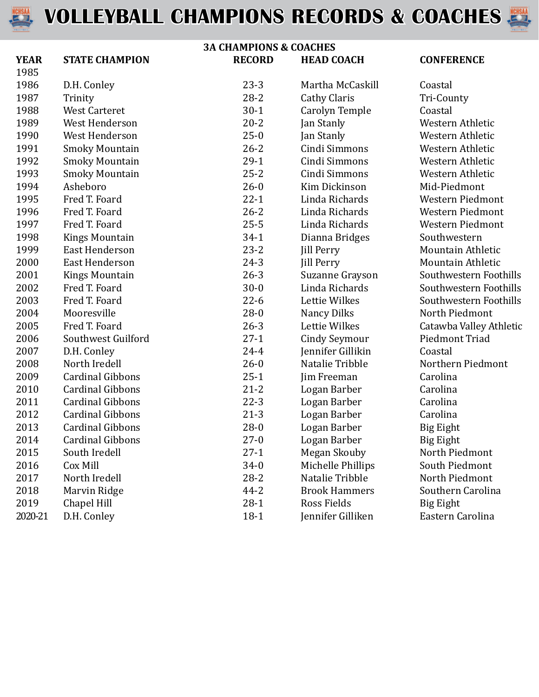



| <b>3A CHAMPIONS &amp; COACHES</b> |                         |               |                      |                          |
|-----------------------------------|-------------------------|---------------|----------------------|--------------------------|
| <b>YEAR</b>                       | <b>STATE CHAMPION</b>   | <b>RECORD</b> | <b>HEAD COACH</b>    | <b>CONFERENCE</b>        |
| 1985                              |                         |               |                      |                          |
| 1986                              | D.H. Conley             | $23-3$        | Martha McCaskill     | Coastal                  |
| 1987                              | Trinity                 | $28 - 2$      | <b>Cathy Claris</b>  | Tri-County               |
| 1988                              | <b>West Carteret</b>    | $30-1$        | Carolyn Temple       | Coastal                  |
| 1989                              | West Henderson          | $20 - 2$      | Jan Stanly           | Western Athletic         |
| 1990                              | West Henderson          | $25 - 0$      | Jan Stanly           | Western Athletic         |
| 1991                              | <b>Smoky Mountain</b>   | $26 - 2$      | Cindi Simmons        | Western Athletic         |
| 1992                              | <b>Smoky Mountain</b>   | $29-1$        | Cindi Simmons        | Western Athletic         |
| 1993                              | <b>Smoky Mountain</b>   | $25 - 2$      | Cindi Simmons        | Western Athletic         |
| 1994                              | Asheboro                | $26 - 0$      | Kim Dickinson        | Mid-Piedmont             |
| 1995                              | Fred T. Foard           | $22 - 1$      | Linda Richards       | <b>Western Piedmont</b>  |
| 1996                              | Fred T. Foard           | $26 - 2$      | Linda Richards       | <b>Western Piedmont</b>  |
| 1997                              | Fred T. Foard           | $25 - 5$      | Linda Richards       | <b>Western Piedmont</b>  |
| 1998                              | <b>Kings Mountain</b>   | $34-1$        | Dianna Bridges       | Southwestern             |
| 1999                              | <b>East Henderson</b>   | $23 - 2$      | <b>Jill Perry</b>    | Mountain Athletic        |
| 2000                              | <b>East Henderson</b>   | $24 - 3$      | <b>Jill Perry</b>    | <b>Mountain Athletic</b> |
| 2001                              | <b>Kings Mountain</b>   | $26 - 3$      | Suzanne Grayson      | Southwestern Foothills   |
| 2002                              | Fred T. Foard           | $30 - 0$      | Linda Richards       | Southwestern Foothills   |
| 2003                              | Fred T. Foard           | $22-6$        | Lettie Wilkes        | Southwestern Foothills   |
| 2004                              | Mooresville             | $28 - 0$      | <b>Nancy Dilks</b>   | North Piedmont           |
| 2005                              | Fred T. Foard           | $26 - 3$      | Lettie Wilkes        | Catawba Valley Athletic  |
| 2006                              | Southwest Guilford      | $27-1$        | <b>Cindy Seymour</b> | Piedmont Triad           |
| 2007                              | D.H. Conley             | $24 - 4$      | Jennifer Gillikin    | Coastal                  |
| 2008                              | North Iredell           | $26 - 0$      | Natalie Tribble      | Northern Piedmont        |
| 2009                              | <b>Cardinal Gibbons</b> | $25-1$        | Jim Freeman          | Carolina                 |
| 2010                              | <b>Cardinal Gibbons</b> | $21 - 2$      | Logan Barber         | Carolina                 |
| 2011                              | <b>Cardinal Gibbons</b> | $22-3$        | Logan Barber         | Carolina                 |
| 2012                              | <b>Cardinal Gibbons</b> | $21-3$        | Logan Barber         | Carolina                 |
| 2013                              | <b>Cardinal Gibbons</b> | $28-0$        | Logan Barber         | <b>Big Eight</b>         |
| 2014                              | <b>Cardinal Gibbons</b> | $27 - 0$      | Logan Barber         | <b>Big Eight</b>         |
| 2015                              | South Iredell           | $27-1$        | Megan Skouby         | North Piedmont           |
| 2016                              | Cox Mill                | $34-0$        | Michelle Phillips    | South Piedmont           |
| 2017                              | North Iredell           | $28 - 2$      | Natalie Tribble      | North Piedmont           |
| 2018                              | Marvin Ridge            | $44 - 2$      | <b>Brook Hammers</b> | Southern Carolina        |
| 2019                              | Chapel Hill             | $28-1$        | Ross Fields          | Big Eight                |
| 2020-21                           | D.H. Conley             | $18-1$        | Jennifer Gilliken    | Eastern Carolina         |
|                                   |                         |               |                      |                          |